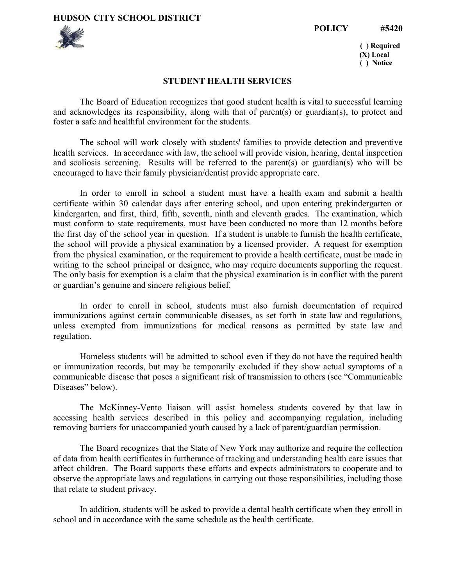**HUDSON CITY SCHOOL DISTRICT**





**( ) Required (X) Local ( ) Notice**

## **STUDENT HEALTH SERVICES**

The Board of Education recognizes that good student health is vital to successful learning and acknowledges its responsibility, along with that of parent(s) or guardian(s), to protect and foster a safe and healthful environment for the students.

The school will work closely with students' families to provide detection and preventive health services. In accordance with law, the school will provide vision, hearing, dental inspection and scoliosis screening. Results will be referred to the parent(s) or guardian(s) who will be encouraged to have their family physician/dentist provide appropriate care.

In order to enroll in school a student must have a health exam and submit a health certificate within 30 calendar days after entering school, and upon entering prekindergarten or kindergarten, and first, third, fifth, seventh, ninth and eleventh grades. The examination, which must conform to state requirements, must have been conducted no more than 12 months before the first day of the school year in question. If a student is unable to furnish the health certificate, the school will provide a physical examination by a licensed provider. A request for exemption from the physical examination, or the requirement to provide a health certificate, must be made in writing to the school principal or designee, who may require documents supporting the request. The only basis for exemption is a claim that the physical examination is in conflict with the parent or guardian's genuine and sincere religious belief.

In order to enroll in school, students must also furnish documentation of required immunizations against certain communicable diseases, as set forth in state law and regulations, unless exempted from immunizations for medical reasons as permitted by state law and regulation.

Homeless students will be admitted to school even if they do not have the required health or immunization records, but may be temporarily excluded if they show actual symptoms of a communicable disease that poses a significant risk of transmission to others (see "Communicable Diseases" below).

The McKinney-Vento liaison will assist homeless students covered by that law in accessing health services described in this policy and accompanying regulation, including removing barriers for unaccompanied youth caused by a lack of parent/guardian permission.

The Board recognizes that the State of New York may authorize and require the collection of data from health certificates in furtherance of tracking and understanding health care issues that affect children. The Board supports these efforts and expects administrators to cooperate and to observe the appropriate laws and regulations in carrying out those responsibilities, including those that relate to student privacy.

In addition, students will be asked to provide a dental health certificate when they enroll in school and in accordance with the same schedule as the health certificate.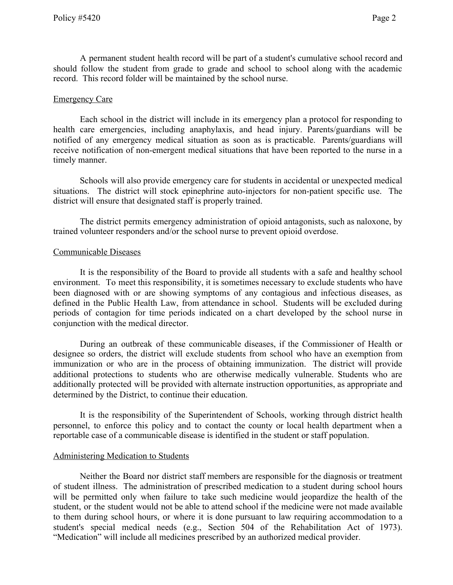A permanent student health record will be part of a student's cumulative school record and should follow the student from grade to grade and school to school along with the academic record. This record folder will be maintained by the school nurse.

## Emergency Care

Each school in the district will include in its emergency plan a protocol for responding to health care emergencies, including anaphylaxis, and head injury. Parents/guardians will be notified of any emergency medical situation as soon as is practicable. Parents/guardians will receive notification of non-emergent medical situations that have been reported to the nurse in a timely manner.

Schools will also provide emergency care for students in accidental or unexpected medical situations. The district will stock epinephrine auto-injectors for non-patient specific use. The district will ensure that designated staff is properly trained.

The district permits emergency administration of opioid antagonists, such as naloxone, by trained volunteer responders and/or the school nurse to prevent opioid overdose.

#### Communicable Diseases

It is the responsibility of the Board to provide all students with a safe and healthy school environment. To meet this responsibility, it is sometimes necessary to exclude students who have been diagnosed with or are showing symptoms of any contagious and infectious diseases, as defined in the Public Health Law, from attendance in school. Students will be excluded during periods of contagion for time periods indicated on a chart developed by the school nurse in conjunction with the medical director.

During an outbreak of these communicable diseases, if the Commissioner of Health or designee so orders, the district will exclude students from school who have an exemption from immunization or who are in the process of obtaining immunization. The district will provide additional protections to students who are otherwise medically vulnerable. Students who are additionally protected will be provided with alternate instruction opportunities, as appropriate and determined by the District, to continue their education.

It is the responsibility of the Superintendent of Schools, working through district health personnel, to enforce this policy and to contact the county or local health department when a reportable case of a communicable disease is identified in the student or staff population.

## Administering Medication to Students

Neither the Board nor district staff members are responsible for the diagnosis or treatment of student illness. The administration of prescribed medication to a student during school hours will be permitted only when failure to take such medicine would jeopardize the health of the student, or the student would not be able to attend school if the medicine were not made available to them during school hours, or where it is done pursuant to law requiring accommodation to a student's special medical needs (e.g., Section 504 of the Rehabilitation Act of 1973). "Medication" will include all medicines prescribed by an authorized medical provider.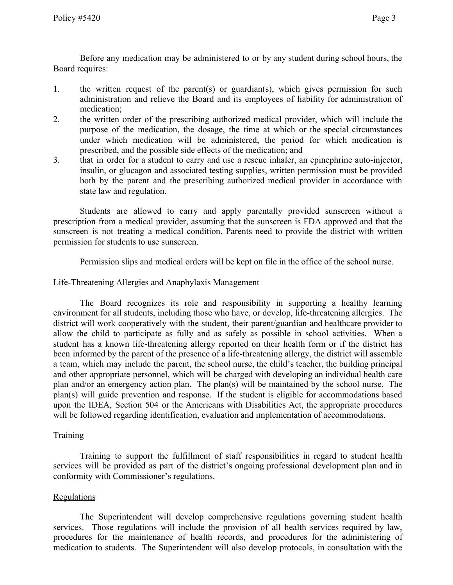Before any medication may be administered to or by any student during school hours, the Board requires:

- 1. the written request of the parent(s) or guardian(s), which gives permission for such administration and relieve the Board and its employees of liability for administration of medication;
- 2. the written order of the prescribing authorized medical provider, which will include the purpose of the medication, the dosage, the time at which or the special circumstances under which medication will be administered, the period for which medication is prescribed, and the possible side effects of the medication; and
- 3. that in order for a student to carry and use a rescue inhaler, an epinephrine auto-injector, insulin, or glucagon and associated testing supplies, written permission must be provided both by the parent and the prescribing authorized medical provider in accordance with state law and regulation.

Students are allowed to carry and apply parentally provided sunscreen without a prescription from a medical provider, assuming that the sunscreen is FDA approved and that the sunscreen is not treating a medical condition. Parents need to provide the district with written permission for students to use sunscreen.

Permission slips and medical orders will be kept on file in the office of the school nurse.

## Life-Threatening Allergies and Anaphylaxis Management

The Board recognizes its role and responsibility in supporting a healthy learning environment for all students, including those who have, or develop, life-threatening allergies. The district will work cooperatively with the student, their parent/guardian and healthcare provider to allow the child to participate as fully and as safely as possible in school activities. When a student has a known life-threatening allergy reported on their health form or if the district has been informed by the parent of the presence of a life-threatening allergy, the district will assemble a team, which may include the parent, the school nurse, the child's teacher, the building principal and other appropriate personnel, which will be charged with developing an individual health care plan and/or an emergency action plan. The plan(s) will be maintained by the school nurse. The plan(s) will guide prevention and response. If the student is eligible for accommodations based upon the IDEA, Section 504 or the Americans with Disabilities Act, the appropriate procedures will be followed regarding identification, evaluation and implementation of accommodations.

## **Training**

Training to support the fulfillment of staff responsibilities in regard to student health services will be provided as part of the district's ongoing professional development plan and in conformity with Commissioner's regulations.

# **Regulations**

The Superintendent will develop comprehensive regulations governing student health services. Those regulations will include the provision of all health services required by law, procedures for the maintenance of health records, and procedures for the administering of medication to students. The Superintendent will also develop protocols, in consultation with the